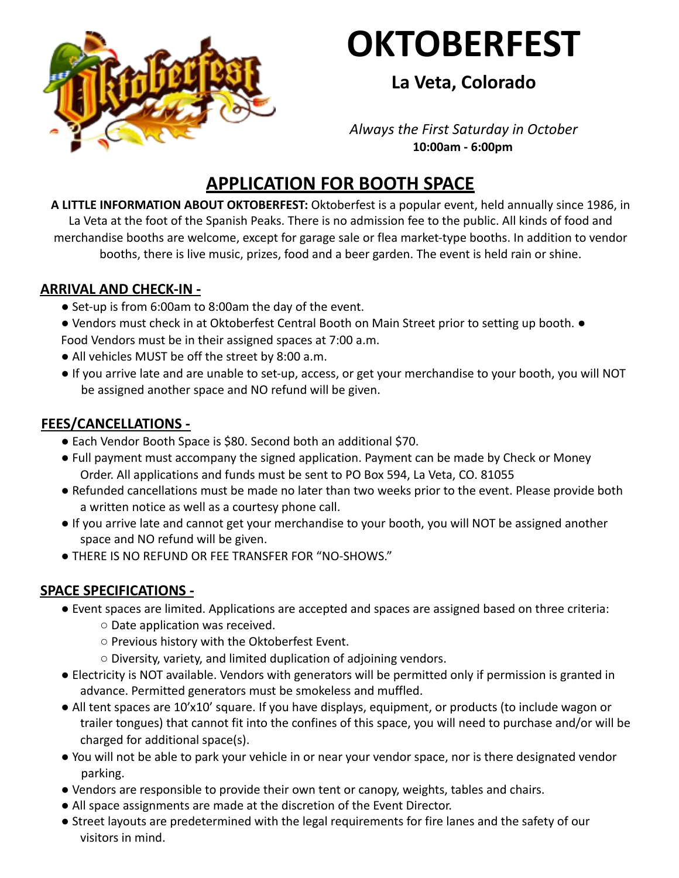

# **OKTOBERFEST**

## **La Veta, Colorado**

#### *Always the First Saturday in October* **10:00am - 6:00pm**

## **APPLICATION FOR BOOTH SPACE**

**A LITTLE INFORMATION ABOUT OKTOBERFEST:** Oktoberfest is a popular event, held annually since 1986, in La Veta at the foot of the Spanish Peaks. There is no admission fee to the public. All kinds of food and merchandise booths are welcome, except for garage sale or flea market-type booths. In addition to vendor booths, there is live music, prizes, food and a beer garden. The event is held rain or shine.

#### **ARRIVAL AND CHECK-IN -**

- Set-up is from 6:00am to 8:00am the day of the event.
- Vendors must check in at Oktoberfest Central Booth on Main Street prior to setting up booth. Food Vendors must be in their assigned spaces at 7:00 a.m.
- All vehicles MUST be off the street by 8:00 a.m.
- If you arrive late and are unable to set-up, access, or get your merchandise to your booth, you will NOT be assigned another space and NO refund will be given.

#### **FEES/CANCELLATIONS -**

- Each Vendor Booth Space is \$80. Second both an additional \$70.
- Full payment must accompany the signed application. Payment can be made by Check or Money Order. All applications and funds must be sent to PO Box 594, La Veta, CO. 81055
- Refunded cancellations must be made no later than two weeks prior to the event. Please provide both a written notice as well as a courtesy phone call.
- If you arrive late and cannot get your merchandise to your booth, you will NOT be assigned another space and NO refund will be given.
- THERE IS NO REFUND OR FEE TRANSFER FOR "NO-SHOWS."

### **SPACE SPECIFICATIONS -**

- Event spaces are limited. Applications are accepted and spaces are assigned based on three criteria:
	- Date application was received.
	- Previous history with the Oktoberfest Event.
	- Diversity, variety, and limited duplication of adjoining vendors.
- Electricity is NOT available. Vendors with generators will be permitted only if permission is granted in advance. Permitted generators must be smokeless and muffled.
- All tent spaces are 10'x10' square. If you have displays, equipment, or products (to include wagon or trailer tongues) that cannot fit into the confines of this space, you will need to purchase and/or will be charged for additional space(s).
- You will not be able to park your vehicle in or near your vendor space, nor is there designated vendor parking.
- Vendors are responsible to provide their own tent or canopy, weights, tables and chairs.
- All space assignments are made at the discretion of the Event Director.
- Street layouts are predetermined with the legal requirements for fire lanes and the safety of our visitors in mind.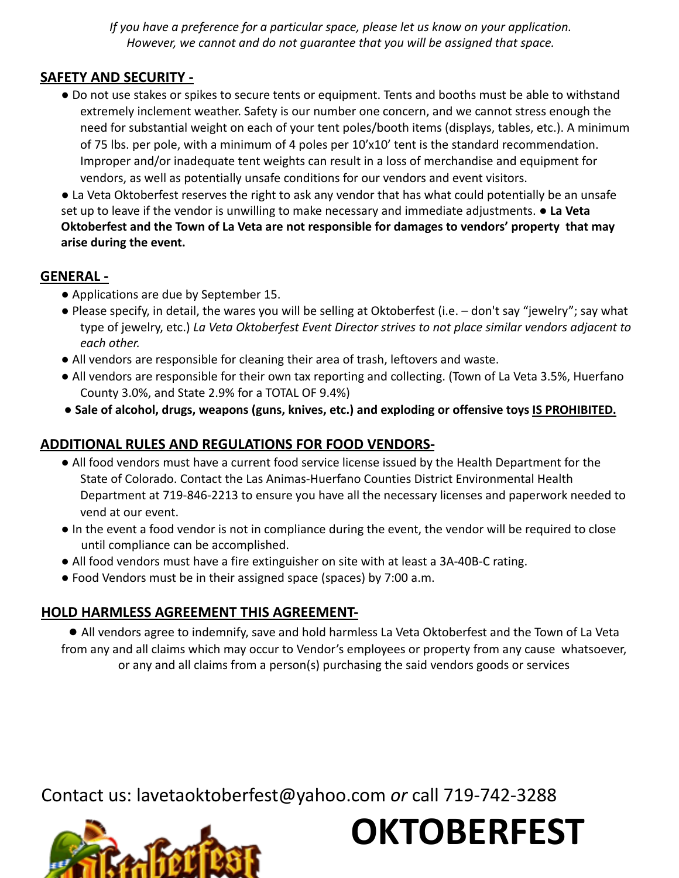*If you have a preference for a particular space, please let us know on your application. However, we cannot and do not guarantee that you will be assigned that space.*

#### **SAFETY AND SECURITY -**

● Do not use stakes or spikes to secure tents or equipment. Tents and booths must be able to withstand extremely inclement weather. Safety is our number one concern, and we cannot stress enough the need for substantial weight on each of your tent poles/booth items (displays, tables, etc.). A minimum of 75 lbs. per pole, with a minimum of 4 poles per 10'x10' tent is the standard recommendation. Improper and/or inadequate tent weights can result in a loss of merchandise and equipment for vendors, as well as potentially unsafe conditions for our vendors and event visitors.

● La Veta Oktoberfest reserves the right to ask any vendor that has what could potentially be an unsafe set up to leave if the vendor is unwilling to make necessary and immediate adjustments. ● **La Veta Oktoberfest and the Town of La Veta are not responsible for damages to vendors' property that may arise during the event.**

#### **GENERAL -**

- Applications are due by September 15.
- Please specify, in detail, the wares you will be selling at Oktoberfest (i.e. don't say "jewelry"; say what type of jewelry, etc.) *La Veta Oktoberfest Event Director strives to not place similar vendors adjacent to each other.*
- All vendors are responsible for cleaning their area of trash, leftovers and waste.
- All vendors are responsible for their own tax reporting and collecting. (Town of La Veta 3.5%, Huerfano County 3.0%, and State 2.9% for a TOTAL OF 9.4%)
- **Sale of alcohol, drugs, weapons (guns, knives, etc.) and exploding or offensive toys IS PROHIBITED.**

#### **ADDITIONAL RULES AND REGULATIONS FOR FOOD VENDORS-**

- All food vendors must have a current food service license issued by the Health Department for the State of Colorado. Contact the Las Animas-Huerfano Counties District Environmental Health Department at 719-846-2213 to ensure you have all the necessary licenses and paperwork needed to vend at our event.
- In the event a food vendor is not in compliance during the event, the vendor will be required to close until compliance can be accomplished.
- All food vendors must have a fire extinguisher on site with at least a 3A-40B-C rating.
- Food Vendors must be in their assigned space (spaces) by 7:00 a.m.

#### **HOLD HARMLESS AGREEMENT THIS AGREEMENT-**

● All vendors agree to indemnify, save and hold harmless La Veta Oktoberfest and the Town of La Veta from any and all claims which may occur to Vendor's employees or property from any cause whatsoever, or any and all claims from a person(s) purchasing the said vendors goods or services

Contact us: lavetaoktoberfest@yahoo.com *or* call 719-742-3288



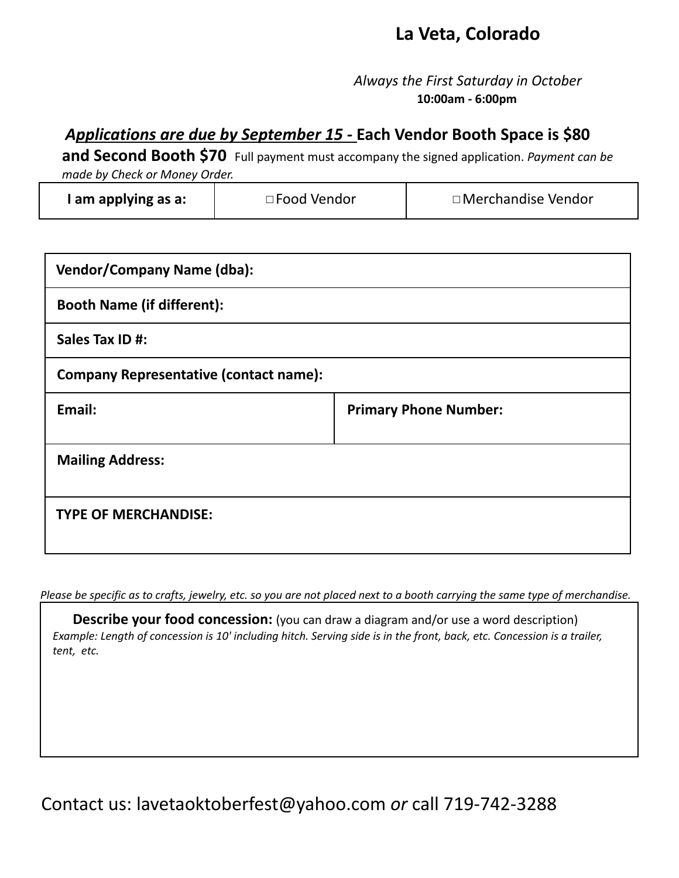## **La Veta, Colorado**

*Always the First Saturday in October* **10:00am - 6:00pm**

### *Applications are due by September 15 -* **Each Vendor Booth Space is \$80**

**and Second Booth \$70** Full payment must accompany the signed application. *Payment can be made by Check or Money Order.*

| l am applying as a: | $\Box$ Food Vendor | □ Merchandise Vendor |
|---------------------|--------------------|----------------------|
|---------------------|--------------------|----------------------|

| <b>Vendor/Company Name (dba):</b>             |                              |  |  |
|-----------------------------------------------|------------------------------|--|--|
| <b>Booth Name (if different):</b>             |                              |  |  |
| Sales Tax ID #:                               |                              |  |  |
| <b>Company Representative (contact name):</b> |                              |  |  |
| Email:                                        | <b>Primary Phone Number:</b> |  |  |
|                                               |                              |  |  |
| <b>Mailing Address:</b>                       |                              |  |  |
|                                               |                              |  |  |
| <b>TYPE OF MERCHANDISE:</b>                   |                              |  |  |
|                                               |                              |  |  |

Please be specific as to crafts, jewelry, etc. so you are not placed next to a booth carrying the same type of merchandise.

**Describe your food concession:** (you can draw a diagram and/or use a word description) Example: Length of concession is 10' including hitch. Serving side is in the front, back, etc. Concession is a trailer, *tent, etc.*

Contact us: lavetaoktoberfest@yahoo.com *or* call 719-742-3288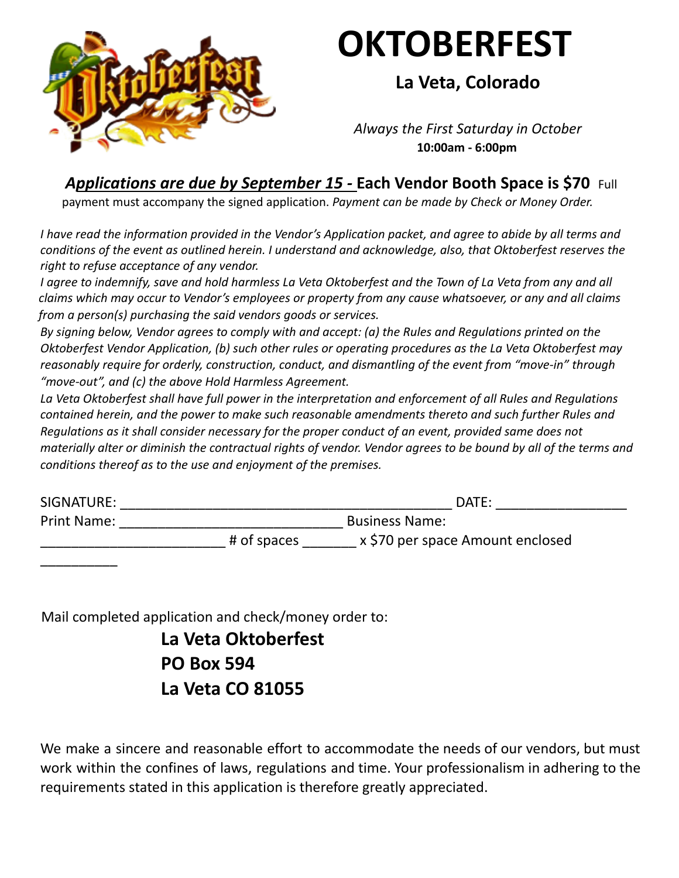

# **OKTOBERFEST**

**La Veta, Colorado**

*Always the First Saturday in October* **10:00am - 6:00pm**

*Applications are due by September 15 -* **Each Vendor Booth Space is \$70** Full

payment must accompany the signed application. *Payment can be made by Check or Money Order.*

*I have read the information provided in the Vendor's Application packet, and agree to abide by all terms and conditions of the event as outlined herein. I understand and acknowledge, also, that Oktoberfest reserves the right to refuse acceptance of any vendor.*

*I agree to indemnify, save and hold harmless La Veta Oktoberfest and the Town of La Veta from any and all claims which may occur to Vendor's employees or property from any cause whatsoever, or any and all claims from a person(s) purchasing the said vendors goods or services.*

*By signing below, Vendor agrees to comply with and accept: (a) the Rules and Regulations printed on the Oktoberfest Vendor Application, (b) such other rules or operating procedures as the La Veta Oktoberfest may reasonably require for orderly, construction, conduct, and dismantling of the event from "move‐in" through "move‐out", and (c) the above Hold Harmless Agreement.*

*La Veta Oktoberfest shall have full power in the interpretation and enforcement of all Rules and Regulations contained herein, and the power to make such reasonable amendments thereto and such further Rules and Regulations as it shall consider necessary for the proper conduct of an event, provided same does not materially alter or diminish the contractual rights of vendor. Vendor agrees to be bound by all of the terms and conditions thereof as to the use and enjoyment of the premises.*

| SIGNATURE:         |             | DATE:                            |  |
|--------------------|-------------|----------------------------------|--|
| <b>Print Name:</b> |             | <b>Business Name:</b>            |  |
|                    | # of spaces | x \$70 per space Amount enclosed |  |

Mail completed application and check/money order to:

\_\_\_\_\_\_\_\_\_\_

**La Veta Oktoberfest PO Box 594 La Veta CO 81055**

We make a sincere and reasonable effort to accommodate the needs of our vendors, but must work within the confines of laws, regulations and time. Your professionalism in adhering to the requirements stated in this application is therefore greatly appreciated.